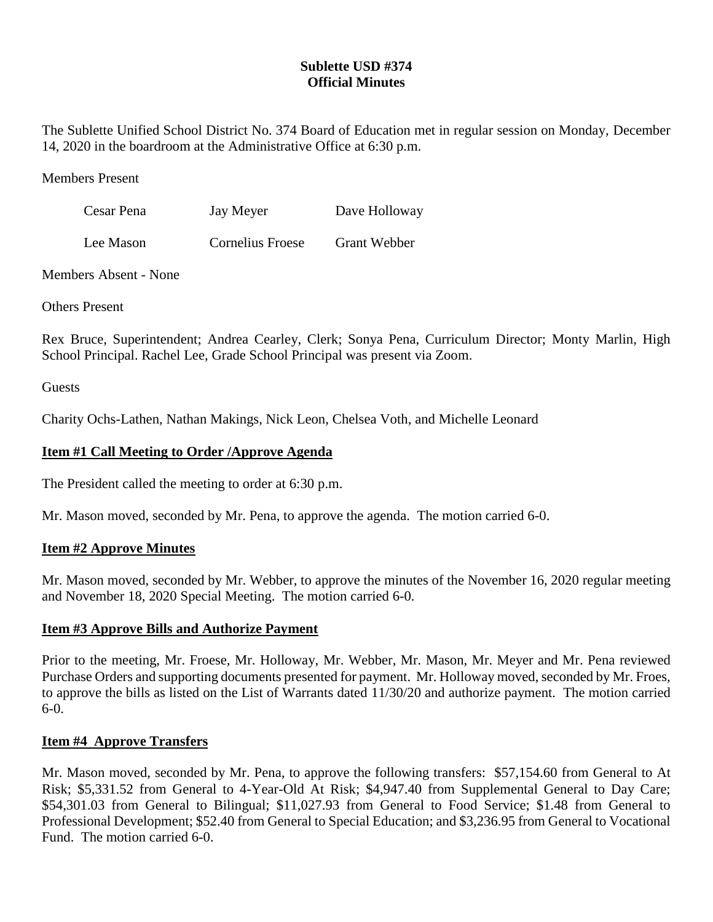## **Sublette USD #374 Official Minutes**

The Sublette Unified School District No. 374 Board of Education met in regular session on Monday, December 14, 2020 in the boardroom at the Administrative Office at 6:30 p.m.

#### Members Present

| Cesar Pena | Jay Meyer        | Dave Holloway |
|------------|------------------|---------------|
| Lee Mason  | Cornelius Froese | Grant Webber  |

Members Absent - None

Others Present

Rex Bruce, Superintendent; Andrea Cearley, Clerk; Sonya Pena, Curriculum Director; Monty Marlin, High School Principal. Rachel Lee, Grade School Principal was present via Zoom.

**Guests** 

Charity Ochs-Lathen, Nathan Makings, Nick Leon, Chelsea Voth, and Michelle Leonard

## **Item #1 Call Meeting to Order /Approve Agenda**

The President called the meeting to order at 6:30 p.m.

Mr. Mason moved, seconded by Mr. Pena, to approve the agenda. The motion carried 6-0.

## **Item #2 Approve Minutes**

Mr. Mason moved, seconded by Mr. Webber, to approve the minutes of the November 16, 2020 regular meeting and November 18, 2020 Special Meeting. The motion carried 6-0.

## **Item #3 Approve Bills and Authorize Payment**

Prior to the meeting, Mr. Froese, Mr. Holloway, Mr. Webber, Mr. Mason, Mr. Meyer and Mr. Pena reviewed Purchase Orders and supporting documents presented for payment. Mr. Holloway moved, seconded by Mr. Froes, to approve the bills as listed on the List of Warrants dated 11/30/20 and authorize payment. The motion carried 6-0.

## **Item #4 Approve Transfers**

Mr. Mason moved, seconded by Mr. Pena, to approve the following transfers: \$57,154.60 from General to At Risk; \$5,331.52 from General to 4-Year-Old At Risk; \$4,947.40 from Supplemental General to Day Care; \$54,301.03 from General to Bilingual; \$11,027.93 from General to Food Service; \$1.48 from General to Professional Development; \$52.40 from General to Special Education; and \$3,236.95 from General to Vocational Fund. The motion carried 6-0.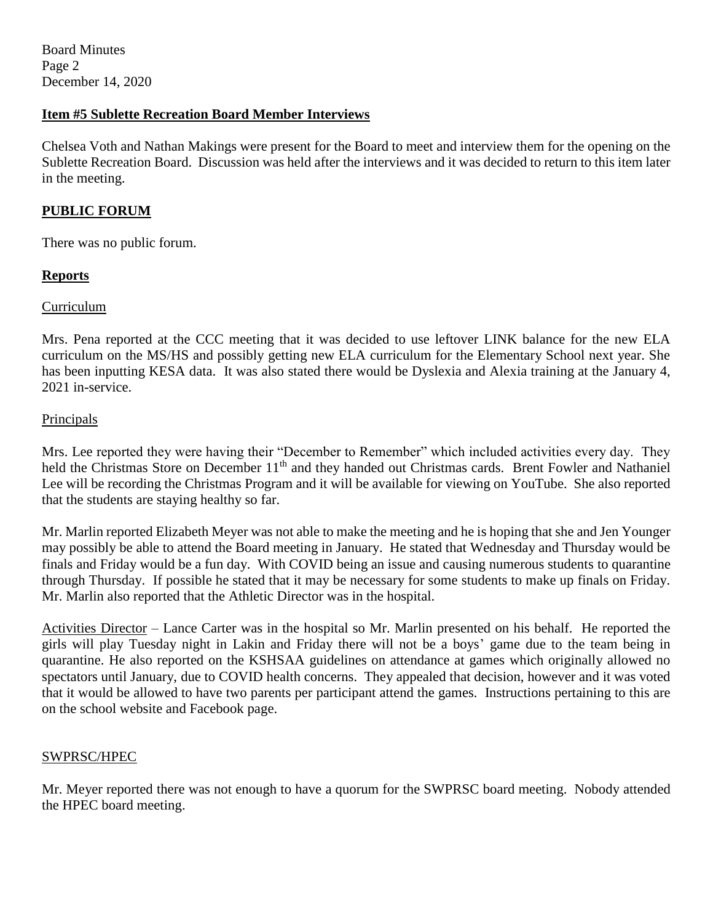Board Minutes Page 2 December 14, 2020

### **Item #5 Sublette Recreation Board Member Interviews**

Chelsea Voth and Nathan Makings were present for the Board to meet and interview them for the opening on the Sublette Recreation Board. Discussion was held after the interviews and it was decided to return to this item later in the meeting.

### **PUBLIC FORUM**

There was no public forum.

### **Reports**

#### Curriculum

Mrs. Pena reported at the CCC meeting that it was decided to use leftover LINK balance for the new ELA curriculum on the MS/HS and possibly getting new ELA curriculum for the Elementary School next year. She has been inputting KESA data. It was also stated there would be Dyslexia and Alexia training at the January 4, 2021 in-service.

#### Principals

Mrs. Lee reported they were having their "December to Remember" which included activities every day. They held the Christmas Store on December 11<sup>th</sup> and they handed out Christmas cards. Brent Fowler and Nathaniel Lee will be recording the Christmas Program and it will be available for viewing on YouTube. She also reported that the students are staying healthy so far.

Mr. Marlin reported Elizabeth Meyer was not able to make the meeting and he is hoping that she and Jen Younger may possibly be able to attend the Board meeting in January. He stated that Wednesday and Thursday would be finals and Friday would be a fun day. With COVID being an issue and causing numerous students to quarantine through Thursday. If possible he stated that it may be necessary for some students to make up finals on Friday. Mr. Marlin also reported that the Athletic Director was in the hospital.

Activities Director – Lance Carter was in the hospital so Mr. Marlin presented on his behalf. He reported the girls will play Tuesday night in Lakin and Friday there will not be a boys' game due to the team being in quarantine. He also reported on the KSHSAA guidelines on attendance at games which originally allowed no spectators until January, due to COVID health concerns. They appealed that decision, however and it was voted that it would be allowed to have two parents per participant attend the games. Instructions pertaining to this are on the school website and Facebook page.

#### SWPRSC/HPEC

Mr. Meyer reported there was not enough to have a quorum for the SWPRSC board meeting. Nobody attended the HPEC board meeting.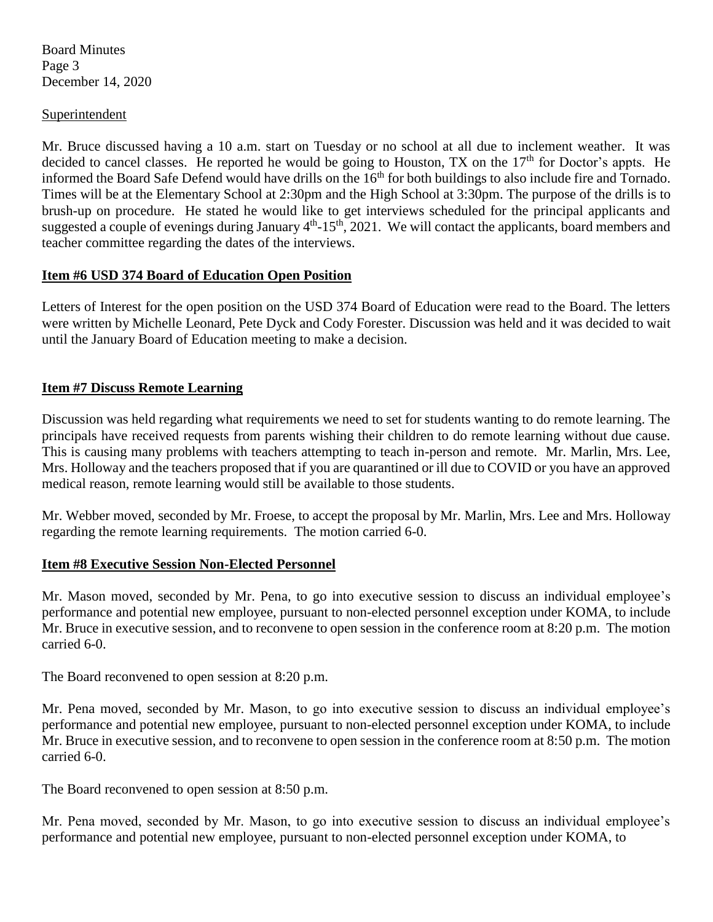Board Minutes Page 3 December 14, 2020

#### **Superintendent**

Mr. Bruce discussed having a 10 a.m. start on Tuesday or no school at all due to inclement weather. It was decided to cancel classes. He reported he would be going to Houston, TX on the 17<sup>th</sup> for Doctor's appts. He informed the Board Safe Defend would have drills on the  $16<sup>th</sup>$  for both buildings to also include fire and Tornado. Times will be at the Elementary School at 2:30pm and the High School at 3:30pm. The purpose of the drills is to brush-up on procedure. He stated he would like to get interviews scheduled for the principal applicants and suggested a couple of evenings during January  $4<sup>th</sup>$ -15<sup>th</sup>, 2021. We will contact the applicants, board members and teacher committee regarding the dates of the interviews.

### **Item #6 USD 374 Board of Education Open Position**

Letters of Interest for the open position on the USD 374 Board of Education were read to the Board. The letters were written by Michelle Leonard, Pete Dyck and Cody Forester. Discussion was held and it was decided to wait until the January Board of Education meeting to make a decision.

## **Item #7 Discuss Remote Learning**

Discussion was held regarding what requirements we need to set for students wanting to do remote learning. The principals have received requests from parents wishing their children to do remote learning without due cause. This is causing many problems with teachers attempting to teach in-person and remote. Mr. Marlin, Mrs. Lee, Mrs. Holloway and the teachers proposed that if you are quarantined or ill due to COVID or you have an approved medical reason, remote learning would still be available to those students.

Mr. Webber moved, seconded by Mr. Froese, to accept the proposal by Mr. Marlin, Mrs. Lee and Mrs. Holloway regarding the remote learning requirements. The motion carried 6-0.

#### **Item #8 Executive Session Non-Elected Personnel**

Mr. Mason moved, seconded by Mr. Pena, to go into executive session to discuss an individual employee's performance and potential new employee, pursuant to non-elected personnel exception under KOMA, to include Mr. Bruce in executive session, and to reconvene to open session in the conference room at 8:20 p.m. The motion carried 6-0.

The Board reconvened to open session at 8:20 p.m.

Mr. Pena moved, seconded by Mr. Mason, to go into executive session to discuss an individual employee's performance and potential new employee, pursuant to non-elected personnel exception under KOMA, to include Mr. Bruce in executive session, and to reconvene to open session in the conference room at 8:50 p.m. The motion carried 6-0.

The Board reconvened to open session at 8:50 p.m.

Mr. Pena moved, seconded by Mr. Mason, to go into executive session to discuss an individual employee's performance and potential new employee, pursuant to non-elected personnel exception under KOMA, to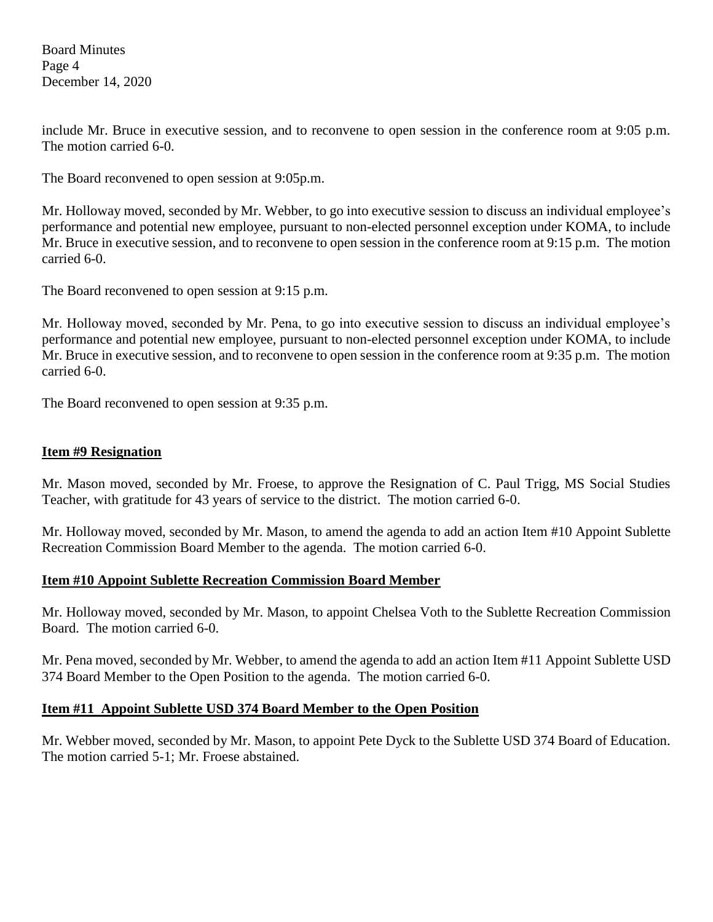Board Minutes Page 4 December 14, 2020

include Mr. Bruce in executive session, and to reconvene to open session in the conference room at 9:05 p.m. The motion carried 6-0.

The Board reconvened to open session at 9:05p.m.

Mr. Holloway moved, seconded by Mr. Webber, to go into executive session to discuss an individual employee's performance and potential new employee, pursuant to non-elected personnel exception under KOMA, to include Mr. Bruce in executive session, and to reconvene to open session in the conference room at 9:15 p.m. The motion carried 6-0.

The Board reconvened to open session at 9:15 p.m.

Mr. Holloway moved, seconded by Mr. Pena, to go into executive session to discuss an individual employee's performance and potential new employee, pursuant to non-elected personnel exception under KOMA, to include Mr. Bruce in executive session, and to reconvene to open session in the conference room at 9:35 p.m. The motion carried 6-0.

The Board reconvened to open session at 9:35 p.m.

#### **Item #9 Resignation**

Mr. Mason moved, seconded by Mr. Froese, to approve the Resignation of C. Paul Trigg, MS Social Studies Teacher, with gratitude for 43 years of service to the district. The motion carried 6-0.

Mr. Holloway moved, seconded by Mr. Mason, to amend the agenda to add an action Item #10 Appoint Sublette Recreation Commission Board Member to the agenda. The motion carried 6-0.

#### **Item #10 Appoint Sublette Recreation Commission Board Member**

Mr. Holloway moved, seconded by Mr. Mason, to appoint Chelsea Voth to the Sublette Recreation Commission Board. The motion carried 6-0.

Mr. Pena moved, seconded by Mr. Webber, to amend the agenda to add an action Item #11 Appoint Sublette USD 374 Board Member to the Open Position to the agenda. The motion carried 6-0.

## **Item #11 Appoint Sublette USD 374 Board Member to the Open Position**

Mr. Webber moved, seconded by Mr. Mason, to appoint Pete Dyck to the Sublette USD 374 Board of Education. The motion carried 5-1; Mr. Froese abstained.